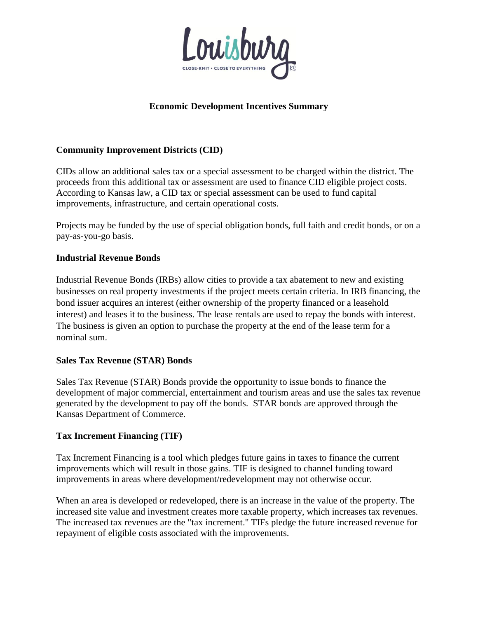

# **Economic Development Incentives Summary**

# **Community Improvement Districts (CID)**

CIDs allow an additional sales tax or a special assessment to be charged within the district. The proceeds from this additional tax or assessment are used to finance CID eligible project costs. According to Kansas law, a CID tax or special assessment can be used to fund capital improvements, infrastructure, and certain operational costs.

Projects may be funded by the use of special obligation bonds, full faith and credit bonds, or on a pay-as-you-go basis.

### **Industrial Revenue Bonds**

Industrial Revenue Bonds (IRBs) allow cities to provide a tax abatement to new and existing businesses on real property investments if the project meets certain criteria. In IRB financing, the bond issuer acquires an interest (either ownership of the property financed or a leasehold interest) and leases it to the business. The lease rentals are used to repay the bonds with interest. The business is given an option to purchase the property at the end of the lease term for a nominal sum.

#### **Sales Tax Revenue (STAR) Bonds**

Sales Tax Revenue (STAR) Bonds provide the opportunity to issue bonds to finance the development of major commercial, entertainment and tourism areas and use the sales tax revenue generated by the development to pay off the bonds. STAR bonds are approved through the Kansas Department of Commerce.

#### **Tax Increment Financing (TIF)**

Tax Increment Financing is a tool which pledges future gains in taxes to finance the current improvements which will result in those gains. TIF is designed to channel funding toward improvements in areas where development/redevelopment may not otherwise occur.

When an area is developed or redeveloped, there is an increase in the value of the property. The increased site value and investment creates more taxable property, which increases tax revenues. The increased tax revenues are the "tax increment." TIFs pledge the future increased revenue for repayment of eligible costs associated with the improvements.